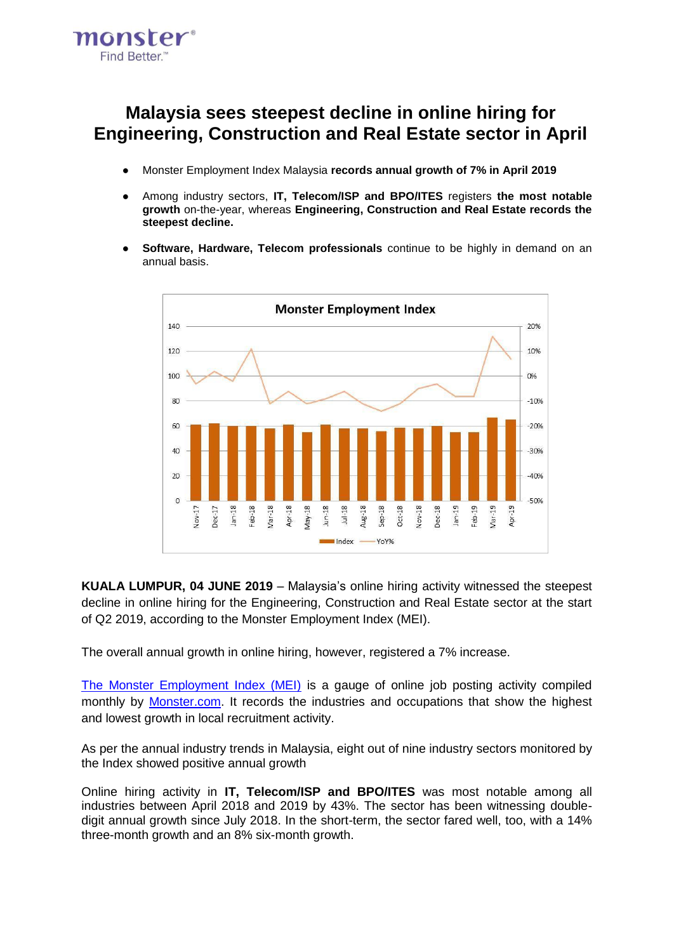

# **Malaysia sees steepest decline in online hiring for Engineering, Construction and Real Estate sector in April**

- Monster Employment Index Malaysia **records annual growth of 7% in April 2019**
- Among industry sectors, **IT, Telecom/ISP and BPO/ITES** registers **the most notable growth** on-the-year, whereas **Engineering, Construction and Real Estate records the steepest decline.**
- **Software, Hardware, Telecom professionals** continue to be highly in demand on an annual basis.



**KUALA LUMPUR, 04 JUNE 2019** – Malaysia's online hiring activity witnessed the steepest decline in online hiring for the Engineering, Construction and Real Estate sector at the start of Q2 2019, according to the Monster Employment Index (MEI).

The overall annual growth in online hiring, however, registered a 7% increase.

[The Monster Employment Index \(MEI\)](http://www.monster.com.my/employment-index/) is a gauge of online job posting activity compiled monthly b[y](http://www.monster.com.my/) [Monster.com.](http://www.monster.com.my/) It records the industries and occupations that show the highest and lowest growth in local recruitment activity.

As per the annual industry trends in Malaysia, eight out of nine industry sectors monitored by the Index showed positive annual growth

Online hiring activity in **IT, Telecom/ISP and BPO/ITES** was most notable among all industries between April 2018 and 2019 by 43%. The sector has been witnessing doubledigit annual growth since July 2018. In the short-term, the sector fared well, too, with a 14% three-month growth and an 8% six-month growth.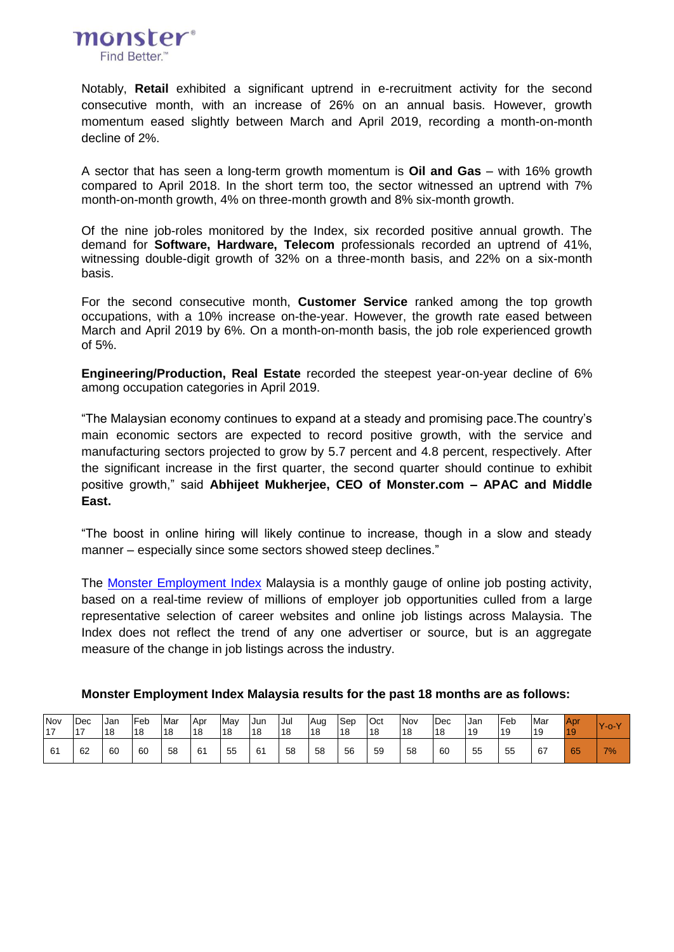

Notably, **Retail** exhibited a significant uptrend in e-recruitment activity for the second consecutive month, with an increase of 26% on an annual basis. However, growth momentum eased slightly between March and April 2019, recording a month-on-month decline of 2%.

A sector that has seen a long-term growth momentum is **Oil and Gas** – with 16% growth compared to April 2018. In the short term too, the sector witnessed an uptrend with 7% month-on-month growth, 4% on three-month growth and 8% six-month growth.

Of the nine job-roles monitored by the Index, six recorded positive annual growth. The demand for **Software, Hardware, Telecom** professionals recorded an uptrend of 41%, witnessing double-digit growth of 32% on a three-month basis, and 22% on a six-month basis.

For the second consecutive month, **Customer Service** ranked among the top growth occupations, with a 10% increase on-the-year. However, the growth rate eased between March and April 2019 by 6%. On a month-on-month basis, the job role experienced growth of 5%.

**Engineering/Production, Real Estate** recorded the steepest year-on-year decline of 6% among occupation categories in April 2019.

"The Malaysian economy continues to expand at a steady and promising pace.The country's main economic sectors are expected to record positive growth, with the service and manufacturing sectors projected to grow by 5.7 percent and 4.8 percent, respectively. After the significant increase in the first quarter, the second quarter should continue to exhibit positive growth," said **Abhijeet Mukherjee, CEO of Monster.com – APAC and Middle East.**

"The boost in online hiring will likely continue to increase, though in a slow and steady manner – especially since some sectors showed steep declines."

Th[e](http://www.monster.com.my/employment-index/) [Monster Employment Index](http://www.monster.com.my/employment-index/) Malaysia is a monthly gauge of online job posting activity, based on a real-time review of millions of employer job opportunities culled from a large representative selection of career websites and online job listings across Malaysia. The Index does not reflect the trend of any one advertiser or source, but is an aggregate measure of the change in job listings across the industry.

| Nov | Dec | <b>Jan</b> | Feb | Mar | Apr | Mav | Jun | Jul | Aug | Sep | Oct | Nov | Dec | Jan | Feb | Mar | <b>Apr</b> | lY-o-Y |
|-----|-----|------------|-----|-----|-----|-----|-----|-----|-----|-----|-----|-----|-----|-----|-----|-----|------------|--------|
| 17  | 117 | 18         | 18  | 18  | 18  | 18  | 18  | 118 | 18  | 18  | 18  | 18  | 18  | 119 | 19  | 19  | 19         |        |
| 61  | 62  | 60         | 60  | 58  | 61  | 55  | 61  | 58  | 58  | 56  | 59  | 58  | 60  | 55  | 55  | 67  | 65         | 7%     |

**Monster Employment Index Malaysia results for the past 18 months are as follows:**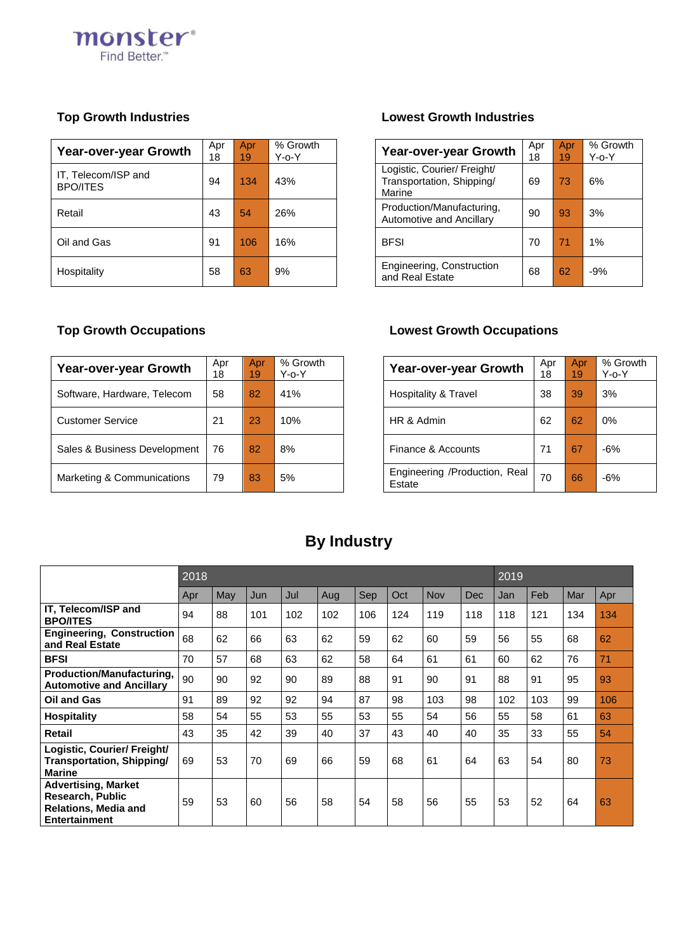

| Year-over-year Growth                  | Apr<br>18 | Apr<br>19 | % Growth<br>Y-o-Y | Year-over-year Growth                                              | Apr<br>18 | Apr <sub>i</sub><br>19 |  |
|----------------------------------------|-----------|-----------|-------------------|--------------------------------------------------------------------|-----------|------------------------|--|
| IT, Telecom/ISP and<br><b>BPO/ITES</b> | 94        | 134       | 43%               | Logistic, Courier/ Freight/<br>Transportation, Shipping/<br>Marine | 69        | 73                     |  |
| Retail                                 | 43        | 54        | 26%               | Production/Manufacturing,<br>Automotive and Ancillary              | 90        | 93                     |  |
| Oil and Gas                            | 91        | 106       | 16%               | <b>BFSI</b>                                                        | 70        | 71                     |  |
| Hospitality                            | 58        | 63        | 9%                | Engineering, Construction<br>and Real Estate                       | 68        | 62                     |  |

## **Top Growth Industries Lowest Growth Industries**

| <b>Year-over-year Growth</b>                                       | Apr<br>18 | Apr<br>19 | % Growth<br>$Y$ -o- $Y$ |
|--------------------------------------------------------------------|-----------|-----------|-------------------------|
| Logistic, Courier/ Freight/<br>Transportation, Shipping/<br>Marine | 69        | 73        | 6%                      |
| Production/Manufacturing,<br>Automotive and Ancillary              | 90        | 93        | 3%                      |
| <b>BFSI</b>                                                        | 70        | 71        | 1%                      |
| Engineering, Construction<br>and Real Estate                       | 68        | 62        | $-9%$                   |

| Year-over-year Growth        | Apr<br>18 | Apr<br>19 | % Growth<br>$Y$ -o- $Y$ | Year-over-year Growth                   | Apr<br>18 | Apr<br>19 | % G<br>Y-o |
|------------------------------|-----------|-----------|-------------------------|-----------------------------------------|-----------|-----------|------------|
| Software, Hardware, Telecom  | 58        | 82        | 41%                     | Hospitality & Travel                    | 38        | 39        | 3%         |
| <b>Customer Service</b>      | 21        | 23        | 10%                     | HR & Admin                              | 62        | 62        | $0\%$      |
| Sales & Business Development | 76        | 82        | 8%                      | Finance & Accounts                      | 71        | 67        | $-6%$      |
| Marketing & Communications   | 79        | 83        | 5%                      | Engineering /Production, Real<br>Estate | 70        | 66        | $-6%$      |

## **Top Growth Occupations Lowest Growth Occupations**

| <b>Year-over-year Growth</b>            | Apr<br>18 | Apr<br>19 | % Growth<br>Y-o-Y |
|-----------------------------------------|-----------|-----------|-------------------|
| Hospitality & Travel                    | 38        | 39        | 3%                |
| HR & Admin                              | 62        | 62        | 0%                |
| Finance & Accounts                      | 71        | 67        | -6%               |
| Engineering /Production, Real<br>Estate | 70        | 66        | -6%               |

# **By Industry**

|                                                                                                              | 2018 |     |     | 2019 |     |     |     |            |     |     |     |     |     |
|--------------------------------------------------------------------------------------------------------------|------|-----|-----|------|-----|-----|-----|------------|-----|-----|-----|-----|-----|
|                                                                                                              | Apr  | May | Jun | Jul  | Aug | Sep | Oct | <b>Nov</b> | Dec | Jan | Feb | Mar | Apr |
| IT, Telecom/ISP and<br><b>BPO/ITES</b>                                                                       | 94   | 88  | 101 | 102  | 102 | 106 | 124 | 119        | 118 | 118 | 121 | 134 | 134 |
| <b>Engineering, Construction</b><br>and Real Estate                                                          | 68   | 62  | 66  | 63   | 62  | 59  | 62  | 60         | 59  | 56  | 55  | 68  | 62  |
| <b>BFSI</b>                                                                                                  | 70   | 57  | 68  | 63   | 62  | 58  | 64  | 61         | 61  | 60  | 62  | 76  | 71  |
| <b>Production/Manufacturing,</b><br><b>Automotive and Ancillarv</b>                                          | 90   | 90  | 92  | 90   | 89  | 88  | 91  | 90         | 91  | 88  | 91  | 95  | 93  |
| <b>Oil and Gas</b>                                                                                           | 91   | 89  | 92  | 92   | 94  | 87  | 98  | 103        | 98  | 102 | 103 | 99  | 106 |
| <b>Hospitality</b>                                                                                           | 58   | 54  | 55  | 53   | 55  | 53  | 55  | 54         | 56  | 55  | 58  | 61  | 63  |
| Retail                                                                                                       | 43   | 35  | 42  | 39   | 40  | 37  | 43  | 40         | 40  | 35  | 33  | 55  | 54  |
| Logistic, Courier/ Freight/<br>Transportation, Shipping/<br><b>Marine</b>                                    | 69   | 53  | 70  | 69   | 66  | 59  | 68  | 61         | 64  | 63  | 54  | 80  | 73  |
| <b>Advertising, Market</b><br><b>Research, Public</b><br><b>Relations, Media and</b><br><b>Entertainment</b> | 59   | 53  | 60  | 56   | 58  | 54  | 58  | 56         | 55  | 53  | 52  | 64  | 63  |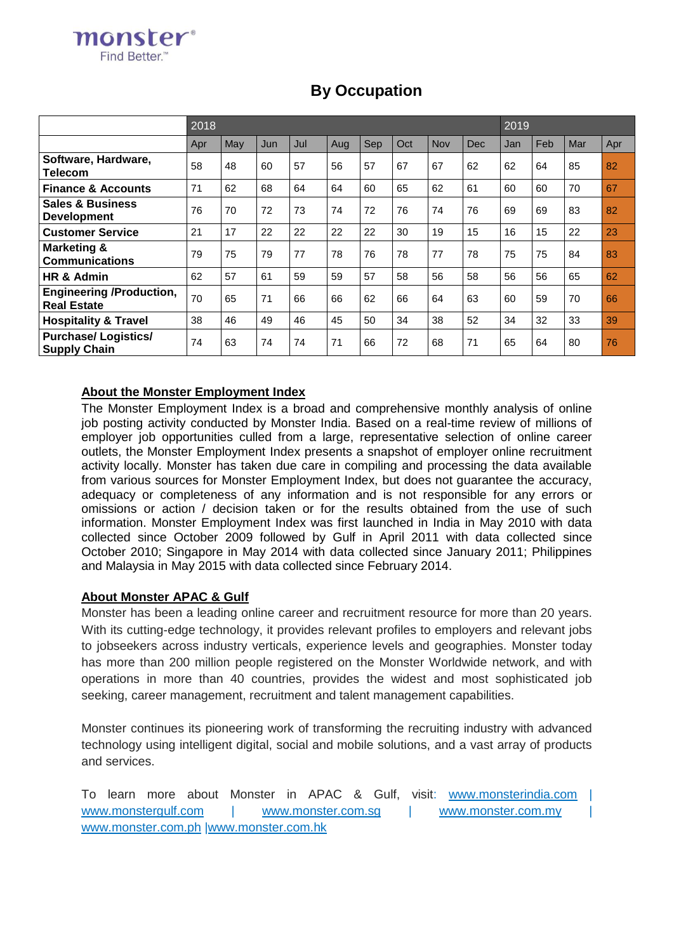|                                                       | 2018<br>Sep<br>Oct<br>Nov<br>Jun<br>Jul<br>Aug<br>Dec<br>May<br>Apr<br>57<br>58<br>57<br>67<br>67<br>48<br>60<br>56<br>62<br>71<br>68<br>65<br>62<br>62<br>64<br>64<br>60<br>61<br>76<br>72<br>73<br>72<br>76<br>74<br>70<br>74<br>76<br>21<br>17<br>22<br>22<br>22<br>30<br>19<br>15<br>22 |    |    |    |    |    |    | 2019 |    |     |     |     |     |
|-------------------------------------------------------|---------------------------------------------------------------------------------------------------------------------------------------------------------------------------------------------------------------------------------------------------------------------------------------------|----|----|----|----|----|----|------|----|-----|-----|-----|-----|
|                                                       |                                                                                                                                                                                                                                                                                             |    |    |    |    |    |    |      |    | Jan | Feb | Mar | Apr |
| Software, Hardware,<br><b>Telecom</b>                 |                                                                                                                                                                                                                                                                                             |    |    |    |    |    |    |      |    | 62  | 64  | 85  | 82  |
| <b>Finance &amp; Accounts</b>                         |                                                                                                                                                                                                                                                                                             |    |    |    |    |    |    |      |    | 60  | 60  | 70  | 67  |
| <b>Sales &amp; Business</b><br><b>Development</b>     |                                                                                                                                                                                                                                                                                             |    |    |    |    |    |    |      |    | 69  | 69  | 83  | 82  |
| <b>Customer Service</b>                               |                                                                                                                                                                                                                                                                                             |    |    |    |    |    |    |      |    | 16  | 15  | 22  | 23  |
| Marketing &<br><b>Communications</b>                  | 79                                                                                                                                                                                                                                                                                          | 75 | 79 | 77 | 78 | 76 | 78 | 77   | 78 | 75  | 75  | 84  | 83  |
| HR & Admin                                            | 62                                                                                                                                                                                                                                                                                          | 57 | 61 | 59 | 59 | 57 | 58 | 56   | 58 | 56  | 56  | 65  | 62  |
| <b>Engineering /Production,</b><br><b>Real Estate</b> | 70                                                                                                                                                                                                                                                                                          | 65 | 71 | 66 | 66 | 62 | 66 | 64   | 63 | 60  | 59  | 70  | 66  |
| <b>Hospitality &amp; Travel</b>                       | 38                                                                                                                                                                                                                                                                                          | 46 | 49 | 46 | 45 | 50 | 34 | 38   | 52 | 34  | 32  | 33  | 39  |
| <b>Purchase/Logistics/</b><br><b>Supply Chain</b>     | 74                                                                                                                                                                                                                                                                                          | 63 | 74 | 74 | 71 | 66 | 72 | 68   | 71 | 65  | 64  | 80  | 76  |

# **By Occupation**

## **About the Monster Employment Index**

monster® Find Better"

The Monster Employment Index is a broad and comprehensive monthly analysis of online job posting activity conducted by Monster India. Based on a real-time review of millions of employer job opportunities culled from a large, representative selection of online career outlets, the Monster Employment Index presents a snapshot of employer online recruitment activity locally. Monster has taken due care in compiling and processing the data available from various sources for Monster Employment Index, but does not guarantee the accuracy, adequacy or completeness of any information and is not responsible for any errors or omissions or action / decision taken or for the results obtained from the use of such information. Monster Employment Index was first launched in India in May 2010 with data collected since October 2009 followed by Gulf in April 2011 with data collected since October 2010; Singapore in May 2014 with data collected since January 2011; Philippines and Malaysia in May 2015 with data collected since February 2014.

### **About Monster APAC & Gulf**

Monster has been a leading online career and recruitment resource for more than 20 years. With its cutting-edge technology, it provides relevant profiles to employers and relevant jobs to jobseekers across industry verticals, experience levels and geographies. Monster today has more than 200 million people registered on the Monster Worldwide network, and with operations in more than 40 countries, provides the widest and most sophisticated job seeking, career management, recruitment and talent management capabilities.

Monster continues its pioneering work of transforming the recruiting industry with advanced technology using intelligent digital, social and mobile solutions, and a vast array of products and services.

To learn more about Monster in APAC & Gulf, visit: [www.monsterindia.com](http://www.monsterindia.com/) | [www.monstergulf.com](http://www.monstergulf.com/) | [www.monster.com.sg](http://www.monster.com.sg/) | [www.monster.com.my](http://www.monster.com.my/) [www.monster.com.ph](http://www.monster.com.ph/) [|www.monster.com.hk](http://www.monster.com.hk/)